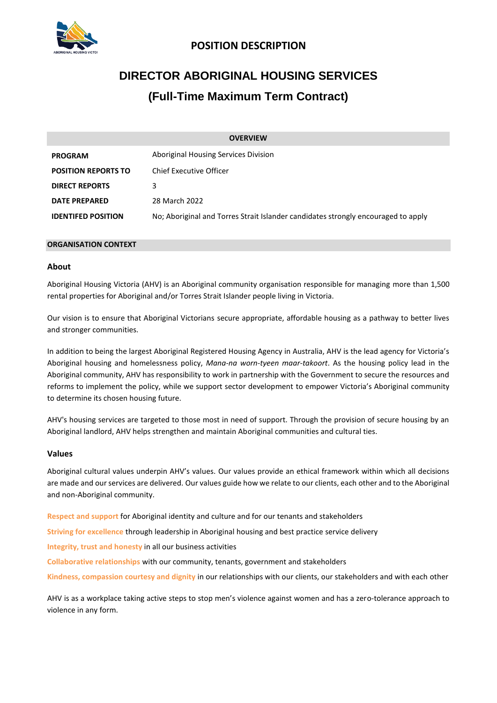

# **POSITION DESCRIPTION**

# **DIRECTOR ABORIGINAL HOUSING SERVICES (Full-Time Maximum Term Contract)**

| <b>OVERVIEW</b>            |                                                                                   |
|----------------------------|-----------------------------------------------------------------------------------|
| <b>PROGRAM</b>             | Aboriginal Housing Services Division                                              |
| <b>POSITION REPORTS TO</b> | Chief Executive Officer                                                           |
| <b>DIRECT REPORTS</b>      | 3                                                                                 |
| <b>DATE PREPARED</b>       | 28 March 2022                                                                     |
| <b>IDENTIFED POSITION</b>  | No: Aboriginal and Torres Strait Islander candidates strongly encouraged to apply |

# **ORGANISATION CONTEXT**

# **About**

Aboriginal Housing Victoria (AHV) is an Aboriginal community organisation responsible for managing more than 1,500 rental properties for Aboriginal and/or Torres Strait Islander people living in Victoria.

Our vision is to ensure that Aboriginal Victorians secure appropriate, affordable housing as a pathway to better lives and stronger communities.

In addition to being the largest Aboriginal Registered Housing Agency in Australia, AHV is the lead agency for Victoria's Aboriginal housing and homelessness policy, *Mana-na worn-tyeen maar-takoort*. As the housing policy lead in the Aboriginal community, AHV has responsibility to work in partnership with the Government to secure the resources and reforms to implement the policy, while we support sector development to empower Victoria's Aboriginal community to determine its chosen housing future.

AHV's housing services are targeted to those most in need of support. Through the provision of secure housing by an Aboriginal landlord, AHV helps strengthen and maintain Aboriginal communities and cultural ties.

# **Values**

Aboriginal cultural values underpin AHV's values. Our values provide an ethical framework within which all decisions are made and our services are delivered. Our values guide how we relate to our clients, each other and to the Aboriginal and non-Aboriginal community.

**Respect and support** for Aboriginal identity and culture and for our tenants and stakeholders

**Striving for excellence** through leadership in Aboriginal housing and best practice service delivery

**Integrity, trust and honesty** in all our business activities

**Collaborative relationships** with our community, tenants, government and stakeholders

**Kindness, compassion courtesy and dignity** in our relationships with our clients, our stakeholders and with each other

AHV is as a workplace taking active steps to stop men's violence against women and has a zero-tolerance approach to violence in any form.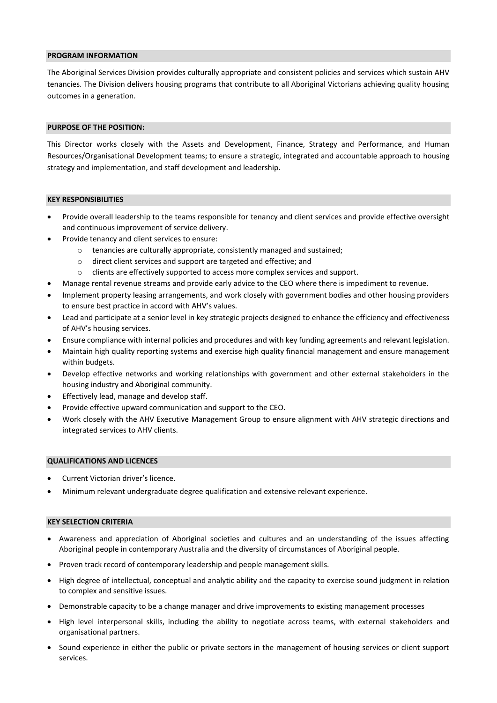#### **PROGRAM INFORMATION**

The Aboriginal Services Division provides culturally appropriate and consistent policies and services which sustain AHV tenancies. The Division delivers housing programs that contribute to all Aboriginal Victorians achieving quality housing outcomes in a generation.

#### **PURPOSE OF THE POSITION:**

This Director works closely with the Assets and Development, Finance, Strategy and Performance, and Human Resources/Organisational Development teams; to ensure a strategic, integrated and accountable approach to housing strategy and implementation, and staff development and leadership.

#### **KEY RESPONSIBILITIES**

- Provide overall leadership to the teams responsible for tenancy and client services and provide effective oversight and continuous improvement of service delivery.
- Provide tenancy and client services to ensure:
	- o tenancies are culturally appropriate, consistently managed and sustained;
	- o direct client services and support are targeted and effective; and
	- o clients are effectively supported to access more complex services and support.
- Manage rental revenue streams and provide early advice to the CEO where there is impediment to revenue.
- Implement property leasing arrangements, and work closely with government bodies and other housing providers to ensure best practice in accord with AHV's values.
- Lead and participate at a senior level in key strategic projects designed to enhance the efficiency and effectiveness of AHV's housing services.
- Ensure compliance with internal policies and procedures and with key funding agreements and relevant legislation.
- Maintain high quality reporting systems and exercise high quality financial management and ensure management within budgets.
- Develop effective networks and working relationships with government and other external stakeholders in the housing industry and Aboriginal community.
- Effectively lead, manage and develop staff.
- Provide effective upward communication and support to the CEO.
- Work closely with the AHV Executive Management Group to ensure alignment with AHV strategic directions and integrated services to AHV clients.

#### **QUALIFICATIONS AND LICENCES**

- Current Victorian driver's licence.
- Minimum relevant undergraduate degree qualification and extensive relevant experience.

# **KEY SELECTION CRITERIA**

- Awareness and appreciation of Aboriginal societies and cultures and an understanding of the issues affecting Aboriginal people in contemporary Australia and the diversity of circumstances of Aboriginal people.
- Proven track record of contemporary leadership and people management skills.
- High degree of intellectual, conceptual and analytic ability and the capacity to exercise sound judgment in relation to complex and sensitive issues.
- Demonstrable capacity to be a change manager and drive improvements to existing management processes
- High level interpersonal skills, including the ability to negotiate across teams, with external stakeholders and organisational partners.
- Sound experience in either the public or private sectors in the management of housing services or client support services.